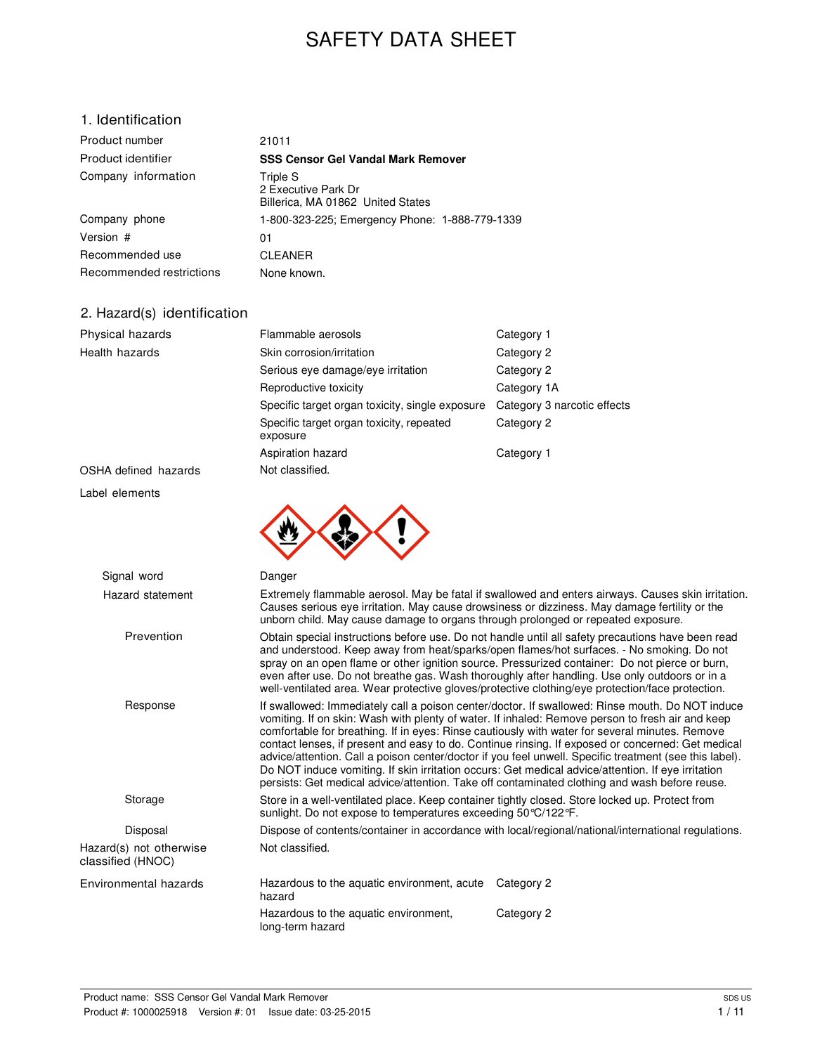# SAFETY DATA SHEET

### 1. Identification

| Product number           | 21011                                                                |
|--------------------------|----------------------------------------------------------------------|
| Product identifier       | <b>SSS Censor Gel Vandal Mark Remover</b>                            |
| Company information      | Triple S<br>2 Executive Park Dr<br>Billerica, MA 01862 United States |
| Company phone            | 1-800-323-225; Emergency Phone: 1-888-779-1339                       |
| Version #                | 01                                                                   |
| Recommended use          | <b>CLEANER</b>                                                       |
| Recommended restrictions | None known.                                                          |

### 2. Hazard(s) identification

| Physical hazards                             | Flammable aerosols                                                                                                                                                                                                                                                                                                                                                                                                                                                                                    | Category 1                                                                                                                                                                                                                                                                                                                                                                                                                                                                                                                                                                                                                                                                                                                  |  |
|----------------------------------------------|-------------------------------------------------------------------------------------------------------------------------------------------------------------------------------------------------------------------------------------------------------------------------------------------------------------------------------------------------------------------------------------------------------------------------------------------------------------------------------------------------------|-----------------------------------------------------------------------------------------------------------------------------------------------------------------------------------------------------------------------------------------------------------------------------------------------------------------------------------------------------------------------------------------------------------------------------------------------------------------------------------------------------------------------------------------------------------------------------------------------------------------------------------------------------------------------------------------------------------------------------|--|
| Health hazards                               | Skin corrosion/irritation                                                                                                                                                                                                                                                                                                                                                                                                                                                                             | Category 2                                                                                                                                                                                                                                                                                                                                                                                                                                                                                                                                                                                                                                                                                                                  |  |
|                                              | Serious eye damage/eye irritation                                                                                                                                                                                                                                                                                                                                                                                                                                                                     | Category 2                                                                                                                                                                                                                                                                                                                                                                                                                                                                                                                                                                                                                                                                                                                  |  |
|                                              | Reproductive toxicity                                                                                                                                                                                                                                                                                                                                                                                                                                                                                 | Category 1A                                                                                                                                                                                                                                                                                                                                                                                                                                                                                                                                                                                                                                                                                                                 |  |
|                                              | Specific target organ toxicity, single exposure                                                                                                                                                                                                                                                                                                                                                                                                                                                       | Category 3 narcotic effects                                                                                                                                                                                                                                                                                                                                                                                                                                                                                                                                                                                                                                                                                                 |  |
|                                              | Specific target organ toxicity, repeated<br>exposure                                                                                                                                                                                                                                                                                                                                                                                                                                                  | Category 2                                                                                                                                                                                                                                                                                                                                                                                                                                                                                                                                                                                                                                                                                                                  |  |
|                                              | Aspiration hazard                                                                                                                                                                                                                                                                                                                                                                                                                                                                                     | Category 1                                                                                                                                                                                                                                                                                                                                                                                                                                                                                                                                                                                                                                                                                                                  |  |
| OSHA defined hazards                         | Not classified.                                                                                                                                                                                                                                                                                                                                                                                                                                                                                       |                                                                                                                                                                                                                                                                                                                                                                                                                                                                                                                                                                                                                                                                                                                             |  |
| Label elements                               |                                                                                                                                                                                                                                                                                                                                                                                                                                                                                                       |                                                                                                                                                                                                                                                                                                                                                                                                                                                                                                                                                                                                                                                                                                                             |  |
|                                              |                                                                                                                                                                                                                                                                                                                                                                                                                                                                                                       |                                                                                                                                                                                                                                                                                                                                                                                                                                                                                                                                                                                                                                                                                                                             |  |
| Signal word                                  | Danger                                                                                                                                                                                                                                                                                                                                                                                                                                                                                                |                                                                                                                                                                                                                                                                                                                                                                                                                                                                                                                                                                                                                                                                                                                             |  |
| Hazard statement                             | Extremely flammable aerosol. May be fatal if swallowed and enters airways. Causes skin irritation.<br>Causes serious eye irritation. May cause drowsiness or dizziness. May damage fertility or the<br>unborn child. May cause damage to organs through prolonged or repeated exposure.                                                                                                                                                                                                               |                                                                                                                                                                                                                                                                                                                                                                                                                                                                                                                                                                                                                                                                                                                             |  |
| Prevention                                   | Obtain special instructions before use. Do not handle until all safety precautions have been read<br>and understood. Keep away from heat/sparks/open flames/hot surfaces. - No smoking. Do not<br>spray on an open flame or other ignition source. Pressurized container: Do not pierce or burn,<br>even after use. Do not breathe gas. Wash thoroughly after handling. Use only outdoors or in a<br>well-ventilated area. Wear protective gloves/protective clothing/eye protection/face protection. |                                                                                                                                                                                                                                                                                                                                                                                                                                                                                                                                                                                                                                                                                                                             |  |
| Response                                     |                                                                                                                                                                                                                                                                                                                                                                                                                                                                                                       | If swallowed: Immediately call a poison center/doctor. If swallowed: Rinse mouth. Do NOT induce<br>vomiting. If on skin: Wash with plenty of water. If inhaled: Remove person to fresh air and keep<br>comfortable for breathing. If in eyes: Rinse cautiously with water for several minutes. Remove<br>contact lenses, if present and easy to do. Continue rinsing. If exposed or concerned: Get medical<br>advice/attention. Call a poison center/doctor if you feel unwell. Specific treatment (see this label).<br>Do NOT induce vomiting. If skin irritation occurs: Get medical advice/attention. If eye irritation<br>persists: Get medical advice/attention. Take off contaminated clothing and wash before reuse. |  |
| Storage                                      | Store in a well-ventilated place. Keep container tightly closed. Store locked up. Protect from<br>sunlight. Do not expose to temperatures exceeding 50 °C/122 °F.                                                                                                                                                                                                                                                                                                                                     |                                                                                                                                                                                                                                                                                                                                                                                                                                                                                                                                                                                                                                                                                                                             |  |
| Disposal                                     | Dispose of contents/container in accordance with local/regional/national/international regulations.                                                                                                                                                                                                                                                                                                                                                                                                   |                                                                                                                                                                                                                                                                                                                                                                                                                                                                                                                                                                                                                                                                                                                             |  |
| Hazard(s) not otherwise<br>classified (HNOC) | Not classified.                                                                                                                                                                                                                                                                                                                                                                                                                                                                                       |                                                                                                                                                                                                                                                                                                                                                                                                                                                                                                                                                                                                                                                                                                                             |  |
| Environmental hazards                        | Hazardous to the aquatic environment, acute<br>hazard                                                                                                                                                                                                                                                                                                                                                                                                                                                 | Category 2                                                                                                                                                                                                                                                                                                                                                                                                                                                                                                                                                                                                                                                                                                                  |  |
|                                              | Hazardous to the aquatic environment,<br>long-term hazard                                                                                                                                                                                                                                                                                                                                                                                                                                             | Category 2                                                                                                                                                                                                                                                                                                                                                                                                                                                                                                                                                                                                                                                                                                                  |  |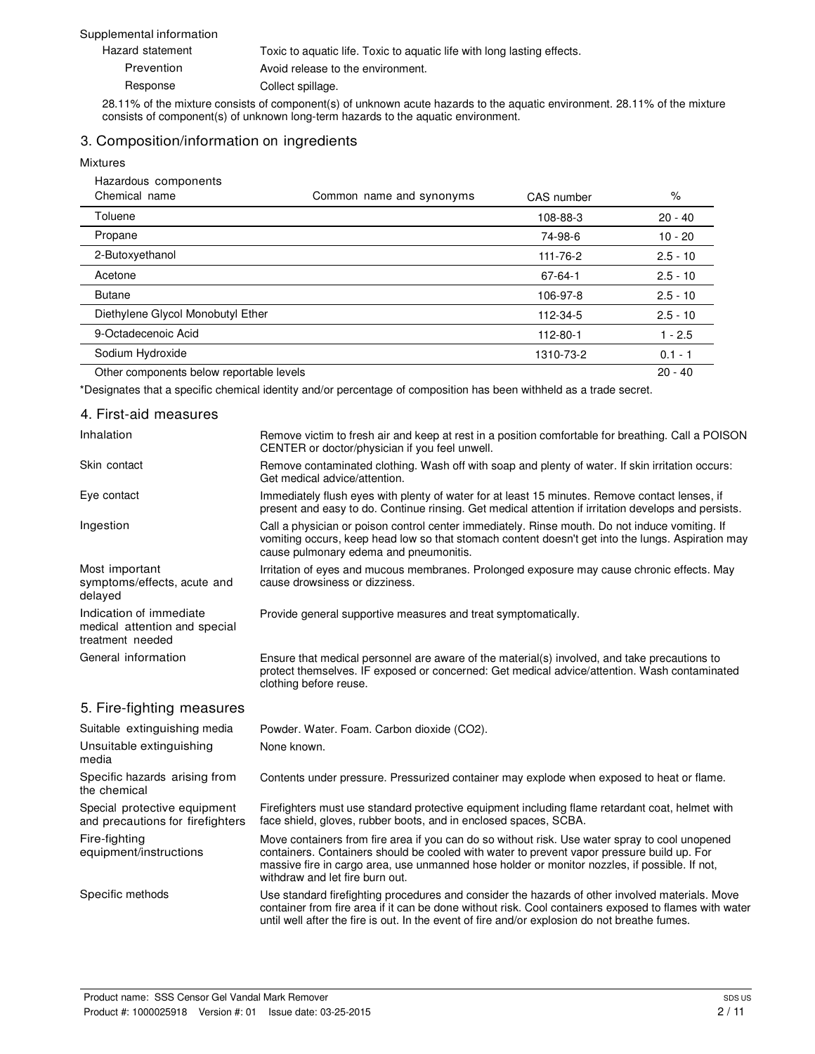#### Supplemental information

| Hazard statement | Toxic to aquatic life. Toxic to aquatic life with long lasting effects. |
|------------------|-------------------------------------------------------------------------|
| Prevention       | Avoid release to the environment.                                       |
| Response         | Collect spillage.                                                       |

28.11% of the mixture consists of component(s) of unknown acute hazards to the aquatic environment. 28.11% of the mixture consists of component(s) of unknown long-term hazards to the aquatic environment.

#### 3. Composition/information on ingredients

#### Mixtures

| Hazardous components                     |                          |               |            |
|------------------------------------------|--------------------------|---------------|------------|
| Chemical name                            | Common name and synonyms | CAS number    | %          |
| Toluene                                  |                          | 108-88-3      | $20 - 40$  |
| Propane                                  |                          | 74-98-6       | 10 - 20    |
| 2-Butoxyethanol                          |                          | 111-76-2      | $2.5 - 10$ |
| Acetone                                  |                          | $67 - 64 - 1$ | $2.5 - 10$ |
| <b>Butane</b>                            |                          | 106-97-8      | $2.5 - 10$ |
| Diethylene Glycol Monobutyl Ether        |                          | 112-34-5      | $2.5 - 10$ |
| 9-Octadecenoic Acid                      |                          | 112-80-1      | $1 - 2.5$  |
| Sodium Hydroxide                         |                          | 1310-73-2     | $0.1 - 1$  |
| Other components below reportable levels |                          |               | $20 - 40$  |

\*Designates that a specific chemical identity and/or percentage of composition has been withheld as a trade secret.

| 4. First-aid measures                                                        |                                                                                                                                                                                                                                                                                                                                  |
|------------------------------------------------------------------------------|----------------------------------------------------------------------------------------------------------------------------------------------------------------------------------------------------------------------------------------------------------------------------------------------------------------------------------|
| Inhalation                                                                   | Remove victim to fresh air and keep at rest in a position comfortable for breathing. Call a POISON<br>CENTER or doctor/physician if you feel unwell.                                                                                                                                                                             |
| Skin contact                                                                 | Remove contaminated clothing. Wash off with soap and plenty of water. If skin irritation occurs:<br>Get medical advice/attention.                                                                                                                                                                                                |
| Eye contact                                                                  | Immediately flush eyes with plenty of water for at least 15 minutes. Remove contact lenses, if<br>present and easy to do. Continue rinsing. Get medical attention if irritation develops and persists.                                                                                                                           |
| Ingestion                                                                    | Call a physician or poison control center immediately. Rinse mouth. Do not induce vomiting. If<br>vomiting occurs, keep head low so that stomach content doesn't get into the lungs. Aspiration may<br>cause pulmonary edema and pneumonitis.                                                                                    |
| Most important<br>symptoms/effects, acute and<br>delayed                     | Irritation of eyes and mucous membranes. Prolonged exposure may cause chronic effects. May<br>cause drowsiness or dizziness.                                                                                                                                                                                                     |
| Indication of immediate<br>medical attention and special<br>treatment needed | Provide general supportive measures and treat symptomatically.                                                                                                                                                                                                                                                                   |
| General information                                                          | Ensure that medical personnel are aware of the material(s) involved, and take precautions to<br>protect themselves. IF exposed or concerned: Get medical advice/attention. Wash contaminated<br>clothing before reuse.                                                                                                           |
| 5. Fire-fighting measures                                                    |                                                                                                                                                                                                                                                                                                                                  |
| Suitable extinguishing media                                                 | Powder. Water. Foam. Carbon dioxide (CO2).                                                                                                                                                                                                                                                                                       |
| Unsuitable extinguishing<br>media                                            | None known.                                                                                                                                                                                                                                                                                                                      |
| Specific hazards arising from<br>the chemical                                | Contents under pressure. Pressurized container may explode when exposed to heat or flame.                                                                                                                                                                                                                                        |
| Special protective equipment<br>and precautions for firefighters             | Firefighters must use standard protective equipment including flame retardant coat, helmet with<br>face shield, gloves, rubber boots, and in enclosed spaces, SCBA.                                                                                                                                                              |
| Fire-fighting<br>equipment/instructions                                      | Move containers from fire area if you can do so without risk. Use water spray to cool unopened<br>containers. Containers should be cooled with water to prevent vapor pressure build up. For<br>massive fire in cargo area, use unmanned hose holder or monitor nozzles, if possible. If not,<br>withdraw and let fire burn out. |
|                                                                              |                                                                                                                                                                                                                                                                                                                                  |

Specific methods Use standard firefighting procedures and consider the hazards of other involved materials. Move container from fire area if it can be done without risk. Cool containers exposed to flames with water until well after the fire is out. In the event of fire and/or explosion do not breathe fumes.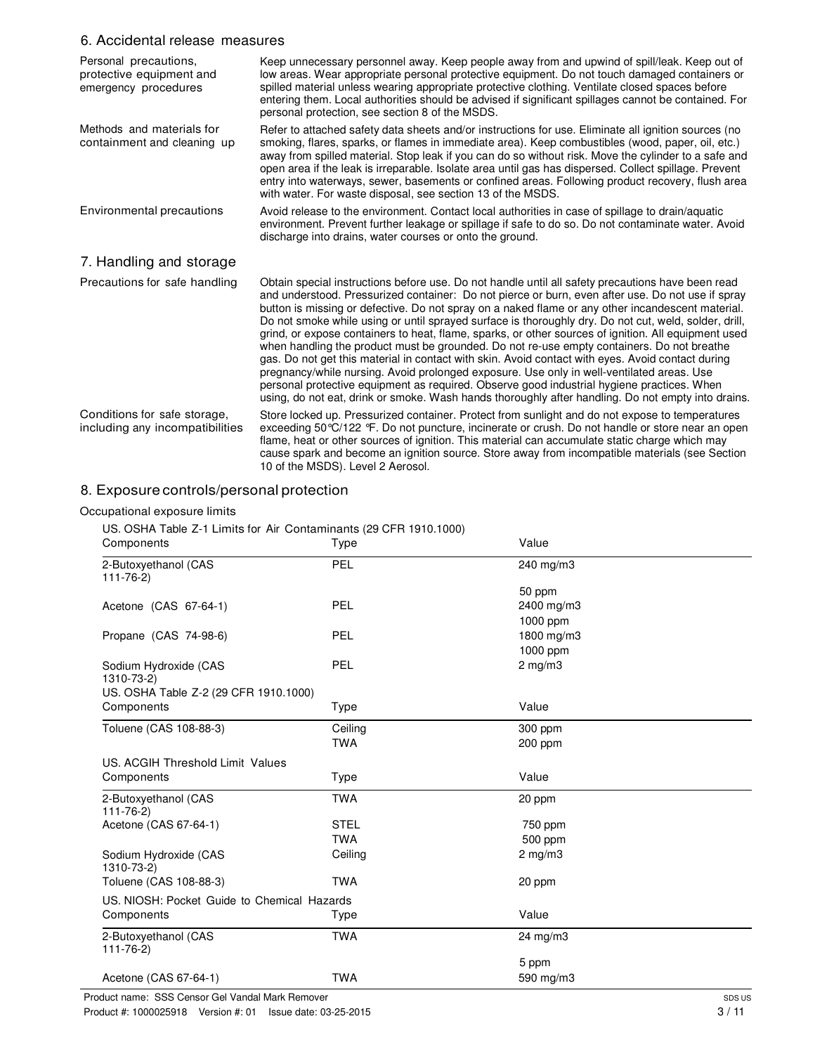### 6. Accidental release measures

| Personal precautions,<br>protective equipment and<br>emergency procedures | Keep unnecessary personnel away. Keep people away from and upwind of spill/leak. Keep out of<br>low areas. Wear appropriate personal protective equipment. Do not touch damaged containers or<br>spilled material unless wearing appropriate protective clothing. Ventilate closed spaces before<br>entering them. Local authorities should be advised if significant spillages cannot be contained. For<br>personal protection, see section 8 of the MSDS.                                                                                                                                                                                                                                                                                                                                                                                                                                                                                                                                                                      |
|---------------------------------------------------------------------------|----------------------------------------------------------------------------------------------------------------------------------------------------------------------------------------------------------------------------------------------------------------------------------------------------------------------------------------------------------------------------------------------------------------------------------------------------------------------------------------------------------------------------------------------------------------------------------------------------------------------------------------------------------------------------------------------------------------------------------------------------------------------------------------------------------------------------------------------------------------------------------------------------------------------------------------------------------------------------------------------------------------------------------|
| Methods and materials for<br>containment and cleaning up                  | Refer to attached safety data sheets and/or instructions for use. Eliminate all ignition sources (no<br>smoking, flares, sparks, or flames in immediate area). Keep combustibles (wood, paper, oil, etc.)<br>away from spilled material. Stop leak if you can do so without risk. Move the cylinder to a safe and<br>open area if the leak is irreparable. Isolate area until gas has dispersed. Collect spillage. Prevent<br>entry into waterways, sewer, basements or confined areas. Following product recovery, flush area<br>with water. For waste disposal, see section 13 of the MSDS.                                                                                                                                                                                                                                                                                                                                                                                                                                    |
| Environmental precautions                                                 | Avoid release to the environment. Contact local authorities in case of spillage to drain/aquatic<br>environment. Prevent further leakage or spillage if safe to do so. Do not contaminate water. Avoid<br>discharge into drains, water courses or onto the ground.                                                                                                                                                                                                                                                                                                                                                                                                                                                                                                                                                                                                                                                                                                                                                               |
| 7. Handling and storage                                                   |                                                                                                                                                                                                                                                                                                                                                                                                                                                                                                                                                                                                                                                                                                                                                                                                                                                                                                                                                                                                                                  |
| Precautions for safe handling                                             | Obtain special instructions before use. Do not handle until all safety precautions have been read<br>and understood. Pressurized container: Do not pierce or burn, even after use. Do not use if spray<br>button is missing or defective. Do not spray on a naked flame or any other incandescent material.<br>Do not smoke while using or until sprayed surface is thoroughly dry. Do not cut, weld, solder, drill,<br>grind, or expose containers to heat, flame, sparks, or other sources of ignition. All equipment used<br>when handling the product must be grounded. Do not re-use empty containers. Do not breathe<br>gas. Do not get this material in contact with skin. Avoid contact with eyes. Avoid contact during<br>pregnancy/while nursing. Avoid prolonged exposure. Use only in well-ventilated areas. Use<br>personal protective equipment as required. Observe good industrial hygiene practices. When<br>using, do not eat, drink or smoke. Wash hands thoroughly after handling. Do not empty into drains. |
| Conditions for safe storage,<br>including any incompatibilities           | Store locked up. Pressurized container. Protect from sunlight and do not expose to temperatures<br>exceeding 50 °C/122 °F. Do not puncture, incinerate or crush. Do not handle or store near an open<br>flame, heat or other sources of ignition. This material can accumulate static charge which may<br>cause spark and become an ignition source. Store away from incompatible materials (see Section<br>10 of the MSDS). Level 2 Aerosol.                                                                                                                                                                                                                                                                                                                                                                                                                                                                                                                                                                                    |

### 8. Exposure controls/personal protection

#### Occupational exposure limits

US. OSHA Table Z-1 Limits for Air Contaminants (29 CFR 1910.1000)

| Components                                  | Type        | Value             |  |
|---------------------------------------------|-------------|-------------------|--|
| 2-Butoxyethanol (CAS<br>$111 - 76 - 2$      | PEL         | 240 mg/m3         |  |
|                                             |             | 50 ppm            |  |
| Acetone (CAS 67-64-1)                       | PEL         | 2400 mg/m3        |  |
|                                             |             | 1000 ppm          |  |
| Propane (CAS 74-98-6)                       | PEL         | 1800 mg/m3        |  |
|                                             |             | 1000 ppm          |  |
| Sodium Hydroxide (CAS<br>1310-73-2)         | PEL         | $2$ mg/m $3$      |  |
| US. OSHA Table Z-2 (29 CFR 1910.1000)       |             |                   |  |
| Components                                  | Type        | Value             |  |
| Toluene (CAS 108-88-3)                      | Ceiling     | 300 ppm           |  |
|                                             | <b>TWA</b>  | 200 ppm           |  |
| US. ACGIH Threshold Limit Values            |             |                   |  |
| Components                                  | Type        | Value             |  |
| 2-Butoxyethanol (CAS<br>$111 - 76 - 2$      | <b>TWA</b>  | 20 ppm            |  |
| Acetone (CAS 67-64-1)                       | <b>STEL</b> | 750 ppm           |  |
|                                             | <b>TWA</b>  | 500 ppm           |  |
| Sodium Hydroxide (CAS<br>1310-73-2)         | Ceiling     | $2$ mg/m $3$      |  |
| Toluene (CAS 108-88-3)                      | <b>TWA</b>  | 20 ppm            |  |
| US. NIOSH: Pocket Guide to Chemical Hazards |             |                   |  |
| Components                                  | Type        | Value             |  |
| 2-Butoxyethanol (CAS<br>$111 - 76 - 2$      | <b>TWA</b>  | $24 \text{ mg/m}$ |  |
|                                             |             | 5 ppm             |  |
| Acetone (CAS 67-64-1)                       | <b>TWA</b>  | 590 mg/m3         |  |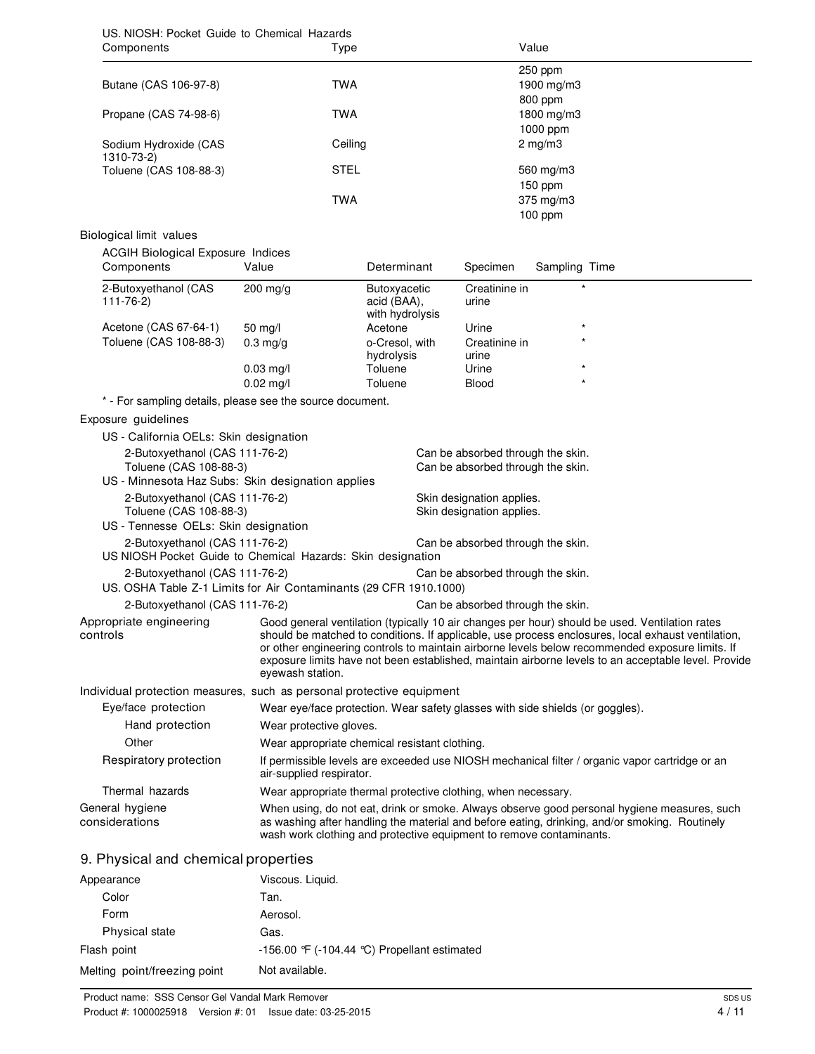| US. NIOSH: Pocket Guide to Chemical Hazards<br>Components                                           | Type                                                                                                                                                                                                                                                                |                                                |                                                        | Value                                                                  |                                                                                                                                                                                                                                                                                                              |
|-----------------------------------------------------------------------------------------------------|---------------------------------------------------------------------------------------------------------------------------------------------------------------------------------------------------------------------------------------------------------------------|------------------------------------------------|--------------------------------------------------------|------------------------------------------------------------------------|--------------------------------------------------------------------------------------------------------------------------------------------------------------------------------------------------------------------------------------------------------------------------------------------------------------|
|                                                                                                     |                                                                                                                                                                                                                                                                     |                                                |                                                        | 250 ppm                                                                |                                                                                                                                                                                                                                                                                                              |
| Butane (CAS 106-97-8)                                                                               | <b>TWA</b>                                                                                                                                                                                                                                                          |                                                |                                                        | 1900 mg/m3                                                             |                                                                                                                                                                                                                                                                                                              |
| Propane (CAS 74-98-6)                                                                               | <b>TWA</b>                                                                                                                                                                                                                                                          |                                                |                                                        | 800 ppm<br>1800 mg/m3                                                  |                                                                                                                                                                                                                                                                                                              |
|                                                                                                     |                                                                                                                                                                                                                                                                     |                                                |                                                        | 1000 ppm                                                               |                                                                                                                                                                                                                                                                                                              |
| Sodium Hydroxide (CAS<br>1310-73-2)                                                                 | Ceiling                                                                                                                                                                                                                                                             |                                                |                                                        | $2$ mg/m $3$                                                           |                                                                                                                                                                                                                                                                                                              |
| Toluene (CAS 108-88-3)                                                                              | <b>STEL</b>                                                                                                                                                                                                                                                         |                                                |                                                        | 560 mg/m3                                                              |                                                                                                                                                                                                                                                                                                              |
|                                                                                                     |                                                                                                                                                                                                                                                                     |                                                |                                                        | 150 ppm                                                                |                                                                                                                                                                                                                                                                                                              |
|                                                                                                     | <b>TWA</b>                                                                                                                                                                                                                                                          |                                                |                                                        | 375 mg/m3                                                              |                                                                                                                                                                                                                                                                                                              |
|                                                                                                     |                                                                                                                                                                                                                                                                     |                                                |                                                        | $100$ ppm                                                              |                                                                                                                                                                                                                                                                                                              |
| Biological limit values                                                                             |                                                                                                                                                                                                                                                                     |                                                |                                                        |                                                                        |                                                                                                                                                                                                                                                                                                              |
| <b>ACGIH Biological Exposure Indices</b><br>Components                                              | Value                                                                                                                                                                                                                                                               | Determinant                                    | Specimen                                               | Sampling Time                                                          |                                                                                                                                                                                                                                                                                                              |
|                                                                                                     | 200 mg/g                                                                                                                                                                                                                                                            |                                                | Creatinine in                                          |                                                                        |                                                                                                                                                                                                                                                                                                              |
| 2-Butoxyethanol (CAS<br>$111 - 76 - 2$                                                              |                                                                                                                                                                                                                                                                     | Butoxyacetic<br>acid (BAA),<br>with hydrolysis | urine                                                  |                                                                        |                                                                                                                                                                                                                                                                                                              |
| Acetone (CAS 67-64-1)                                                                               | $50 \text{ mg/l}$                                                                                                                                                                                                                                                   | Acetone                                        | Urine                                                  |                                                                        |                                                                                                                                                                                                                                                                                                              |
| Toluene (CAS 108-88-3)                                                                              | $0.3$ mg/g                                                                                                                                                                                                                                                          | o-Cresol, with                                 | Creatinine in                                          |                                                                        |                                                                                                                                                                                                                                                                                                              |
|                                                                                                     |                                                                                                                                                                                                                                                                     | hydrolysis                                     | urine                                                  |                                                                        |                                                                                                                                                                                                                                                                                                              |
|                                                                                                     | $0.03$ mg/l                                                                                                                                                                                                                                                         | Toluene                                        | Urine                                                  |                                                                        |                                                                                                                                                                                                                                                                                                              |
|                                                                                                     | $0.02$ mg/l                                                                                                                                                                                                                                                         | Toluene                                        | Blood                                                  |                                                                        |                                                                                                                                                                                                                                                                                                              |
| * - For sampling details, please see the source document.                                           |                                                                                                                                                                                                                                                                     |                                                |                                                        |                                                                        |                                                                                                                                                                                                                                                                                                              |
| Exposure guidelines                                                                                 |                                                                                                                                                                                                                                                                     |                                                |                                                        |                                                                        |                                                                                                                                                                                                                                                                                                              |
| US - California OELs: Skin designation                                                              |                                                                                                                                                                                                                                                                     |                                                |                                                        |                                                                        |                                                                                                                                                                                                                                                                                                              |
| 2-Butoxyethanol (CAS 111-76-2)<br>Toluene (CAS 108-88-3)                                            |                                                                                                                                                                                                                                                                     |                                                |                                                        | Can be absorbed through the skin.<br>Can be absorbed through the skin. |                                                                                                                                                                                                                                                                                                              |
| US - Minnesota Haz Subs: Skin designation applies                                                   |                                                                                                                                                                                                                                                                     |                                                |                                                        |                                                                        |                                                                                                                                                                                                                                                                                                              |
| 2-Butoxyethanol (CAS 111-76-2)<br>Toluene (CAS 108-88-3)                                            |                                                                                                                                                                                                                                                                     |                                                | Skin designation applies.<br>Skin designation applies. |                                                                        |                                                                                                                                                                                                                                                                                                              |
| US - Tennesse OELs: Skin designation                                                                |                                                                                                                                                                                                                                                                     |                                                |                                                        |                                                                        |                                                                                                                                                                                                                                                                                                              |
| 2-Butoxyethanol (CAS 111-76-2)<br>US NIOSH Pocket Guide to Chemical Hazards: Skin designation       |                                                                                                                                                                                                                                                                     |                                                |                                                        | Can be absorbed through the skin.                                      |                                                                                                                                                                                                                                                                                                              |
| 2-Butoxyethanol (CAS 111-76-2)<br>US. OSHA Table Z-1 Limits for Air Contaminants (29 CFR 1910.1000) |                                                                                                                                                                                                                                                                     |                                                |                                                        | Can be absorbed through the skin.                                      |                                                                                                                                                                                                                                                                                                              |
| 2-Butoxyethanol (CAS 111-76-2)                                                                      |                                                                                                                                                                                                                                                                     |                                                |                                                        | Can be absorbed through the skin.                                      |                                                                                                                                                                                                                                                                                                              |
| Appropriate engineering                                                                             |                                                                                                                                                                                                                                                                     |                                                |                                                        |                                                                        | Good general ventilation (typically 10 air changes per hour) should be used. Ventilation rates                                                                                                                                                                                                               |
| controls                                                                                            | eyewash station.                                                                                                                                                                                                                                                    |                                                |                                                        |                                                                        | should be matched to conditions. If applicable, use process enclosures, local exhaust ventilation,<br>or other engineering controls to maintain airborne levels below recommended exposure limits. If<br>exposure limits have not been established, maintain airborne levels to an acceptable level. Provide |
| Individual protection measures, such as personal protective equipment                               |                                                                                                                                                                                                                                                                     |                                                |                                                        |                                                                        |                                                                                                                                                                                                                                                                                                              |
| Eye/face protection                                                                                 | Wear eye/face protection. Wear safety glasses with side shields (or goggles).                                                                                                                                                                                       |                                                |                                                        |                                                                        |                                                                                                                                                                                                                                                                                                              |
| Hand protection                                                                                     | Wear protective gloves.                                                                                                                                                                                                                                             |                                                |                                                        |                                                                        |                                                                                                                                                                                                                                                                                                              |
| Other                                                                                               | Wear appropriate chemical resistant clothing.                                                                                                                                                                                                                       |                                                |                                                        |                                                                        |                                                                                                                                                                                                                                                                                                              |
| Respiratory protection                                                                              | air-supplied respirator.                                                                                                                                                                                                                                            |                                                |                                                        |                                                                        | If permissible levels are exceeded use NIOSH mechanical filter / organic vapor cartridge or an                                                                                                                                                                                                               |
| Thermal hazards                                                                                     | Wear appropriate thermal protective clothing, when necessary.                                                                                                                                                                                                       |                                                |                                                        |                                                                        |                                                                                                                                                                                                                                                                                                              |
| General hygiene<br>considerations                                                                   | When using, do not eat, drink or smoke. Always observe good personal hygiene measures, such<br>as washing after handling the material and before eating, drinking, and/or smoking. Routinely<br>wash work clothing and protective equipment to remove contaminants. |                                                |                                                        |                                                                        |                                                                                                                                                                                                                                                                                                              |
| 9. Physical and chemical properties                                                                 |                                                                                                                                                                                                                                                                     |                                                |                                                        |                                                                        |                                                                                                                                                                                                                                                                                                              |
| Appearance                                                                                          | Viscous. Liquid.                                                                                                                                                                                                                                                    |                                                |                                                        |                                                                        |                                                                                                                                                                                                                                                                                                              |
| Color                                                                                               | Tan.                                                                                                                                                                                                                                                                |                                                |                                                        |                                                                        |                                                                                                                                                                                                                                                                                                              |
| Form                                                                                                | Aerosol.                                                                                                                                                                                                                                                            |                                                |                                                        |                                                                        |                                                                                                                                                                                                                                                                                                              |
| Physical state                                                                                      | Gas.                                                                                                                                                                                                                                                                |                                                |                                                        |                                                                        |                                                                                                                                                                                                                                                                                                              |
| Flash point                                                                                         | -156.00 °F (-104.44 °C) Propellant estimated                                                                                                                                                                                                                        |                                                |                                                        |                                                                        |                                                                                                                                                                                                                                                                                                              |

Melting point/freezing point Not available.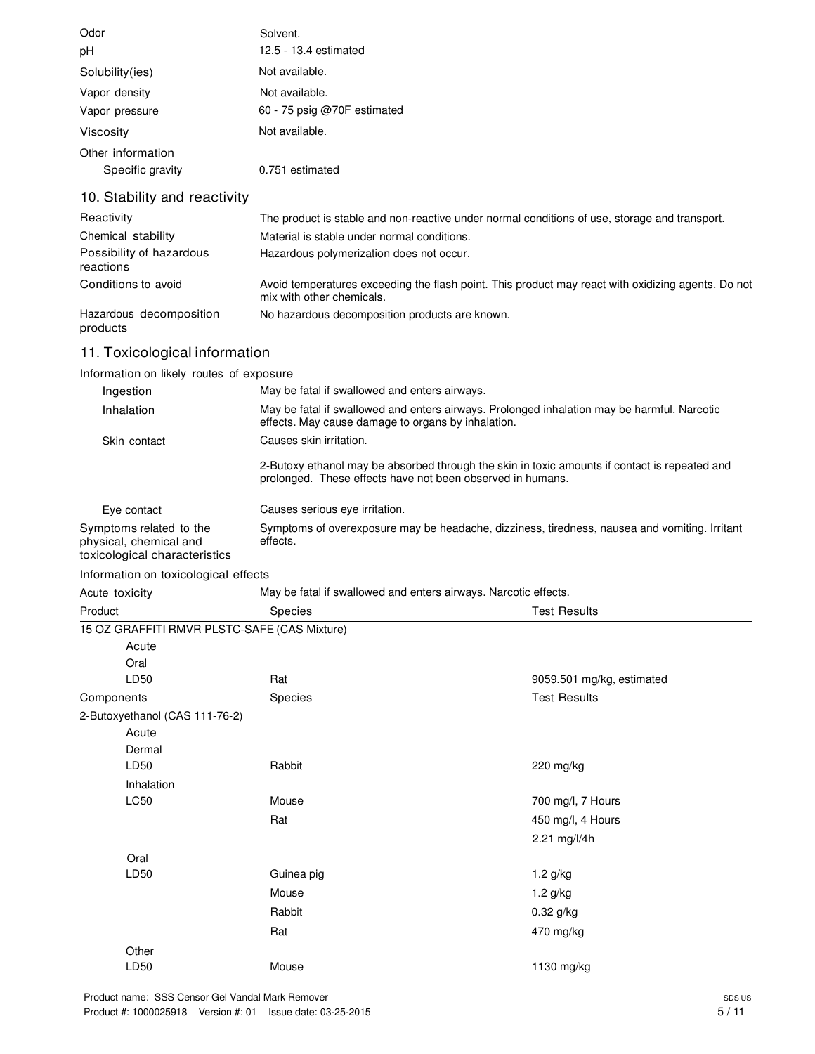| Odor              | Solvent.                    |
|-------------------|-----------------------------|
| рH                | 12.5 - 13.4 estimated       |
| Solubility(ies)   | Not available.              |
| Vapor density     | Not available.              |
| Vapor pressure    | 60 - 75 psig @70F estimated |
| Viscosity         | Not available.              |
| Other information |                             |
| Specific gravity  | 0.751 estimated             |

### 10. Stability and reactivity

| Reactivity                            | The product is stable and non-reactive under normal conditions of use, storage and transport.                                   |
|---------------------------------------|---------------------------------------------------------------------------------------------------------------------------------|
| Chemical stability                    | Material is stable under normal conditions.                                                                                     |
| Possibility of hazardous<br>reactions | Hazardous polymerization does not occur.                                                                                        |
| Conditions to avoid                   | Avoid temperatures exceeding the flash point. This product may react with oxidizing agents. Do not<br>mix with other chemicals. |
| Hazardous decomposition<br>products   | No hazardous decomposition products are known.                                                                                  |

### 11. Toxicological information

### Information on likely routes of exposure

| Ingestion                                                                          | May be fatal if swallowed and enters airways.                                                                                                               |  |
|------------------------------------------------------------------------------------|-------------------------------------------------------------------------------------------------------------------------------------------------------------|--|
| Inhalation                                                                         | May be fatal if swallowed and enters airways. Prolonged inhalation may be harmful. Narcotic<br>effects. May cause damage to organs by inhalation.           |  |
| Skin contact                                                                       | Causes skin irritation.                                                                                                                                     |  |
|                                                                                    | 2-Butoxy ethanol may be absorbed through the skin in toxic amounts if contact is repeated and<br>prolonged. These effects have not been observed in humans. |  |
| Eye contact                                                                        | Causes serious eye irritation.                                                                                                                              |  |
| Symptoms related to the<br>physical, chemical and<br>toxicological characteristics | Symptoms of overexposure may be headache, dizziness, tiredness, nausea and vomiting. Irritant<br>effects.                                                   |  |
|                                                                                    |                                                                                                                                                             |  |

#### Information on toxicological effects

| Acute toxicity                 | May be fatal if swallowed and enters airways. Narcotic effects. |                           |
|--------------------------------|-----------------------------------------------------------------|---------------------------|
| Product                        | Species                                                         | <b>Test Results</b>       |
|                                | 15 OZ GRAFFITI RMVR PLSTC-SAFE (CAS Mixture)                    |                           |
| Acute                          |                                                                 |                           |
| Oral                           |                                                                 |                           |
| LD50                           | Rat                                                             | 9059.501 mg/kg, estimated |
| Components                     | Species                                                         | <b>Test Results</b>       |
| 2-Butoxyethanol (CAS 111-76-2) |                                                                 |                           |
| Acute                          |                                                                 |                           |
| Dermal                         |                                                                 |                           |
| LD50                           | Rabbit                                                          | 220 mg/kg                 |
| Inhalation                     |                                                                 |                           |
| <b>LC50</b>                    | Mouse                                                           | 700 mg/l, 7 Hours         |
|                                | Rat                                                             | 450 mg/l, 4 Hours         |
|                                |                                                                 | 2.21 mg/l/4h              |
| Oral                           |                                                                 |                           |
| LD50                           | Guinea pig                                                      | 1.2 g/kg                  |
|                                | Mouse                                                           | $1.2$ g/kg                |
|                                | Rabbit                                                          | $0.32$ g/kg               |
|                                | Rat                                                             | 470 mg/kg                 |
| Other                          |                                                                 |                           |
| LD <sub>50</sub>               | Mouse                                                           | 1130 mg/kg                |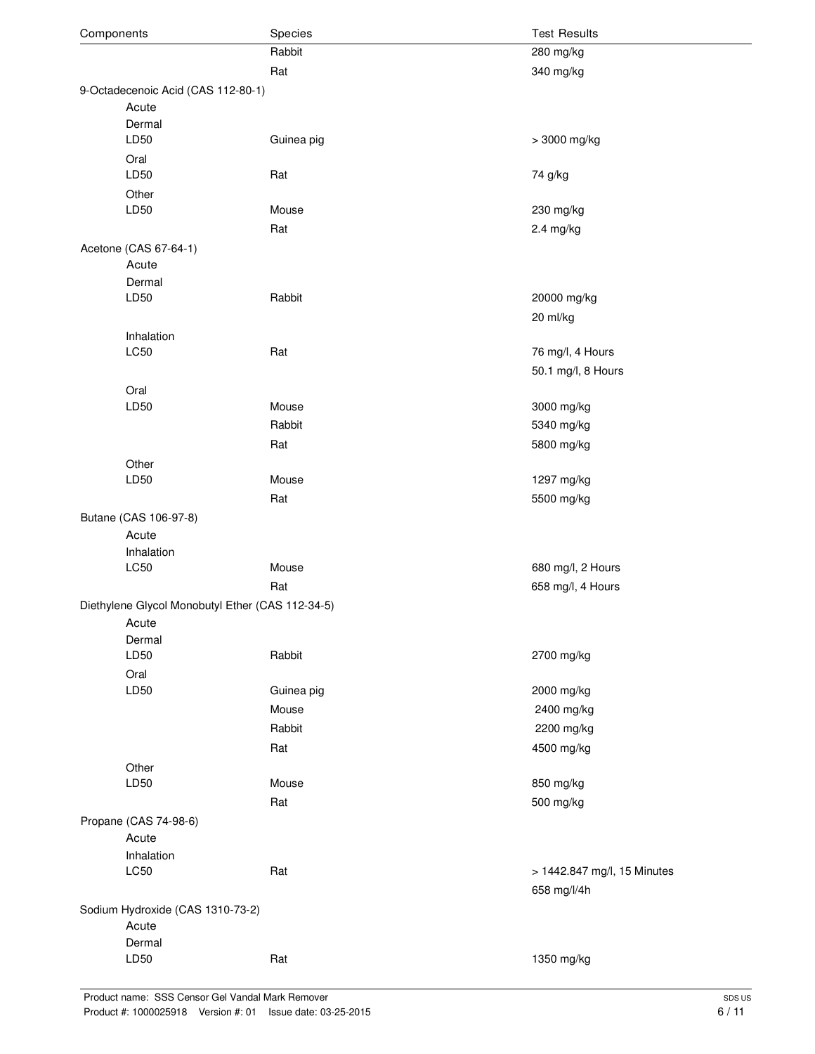| Components                       |                                                  | Species    | <b>Test Results</b>         |  |
|----------------------------------|--------------------------------------------------|------------|-----------------------------|--|
|                                  |                                                  | Rabbit     | 280 mg/kg                   |  |
|                                  |                                                  | Rat        | 340 mg/kg                   |  |
|                                  | 9-Octadecenoic Acid (CAS 112-80-1)               |            |                             |  |
| Acute                            |                                                  |            |                             |  |
|                                  | Dermal<br>LD50                                   | Guinea pig | > 3000 mg/kg                |  |
|                                  | Oral<br>LD50                                     | Rat        | 74 g/kg                     |  |
|                                  | Other                                            |            |                             |  |
|                                  | LD50                                             | Mouse      | 230 mg/kg                   |  |
|                                  |                                                  | Rat        | 2.4 mg/kg                   |  |
|                                  | Acetone (CAS 67-64-1)                            |            |                             |  |
|                                  | Acute                                            |            |                             |  |
|                                  | Dermal                                           |            |                             |  |
|                                  | LD50                                             | Rabbit     | 20000 mg/kg                 |  |
|                                  |                                                  |            | 20 ml/kg                    |  |
|                                  | Inhalation                                       |            |                             |  |
|                                  | <b>LC50</b>                                      | Rat        | 76 mg/l, 4 Hours            |  |
|                                  |                                                  |            | 50.1 mg/l, 8 Hours          |  |
|                                  | Oral                                             |            |                             |  |
|                                  | LD50                                             | Mouse      | 3000 mg/kg                  |  |
|                                  |                                                  | Rabbit     | 5340 mg/kg                  |  |
|                                  |                                                  |            |                             |  |
|                                  |                                                  | Rat        | 5800 mg/kg                  |  |
|                                  | Other                                            |            |                             |  |
|                                  | LD50                                             | Mouse      | 1297 mg/kg                  |  |
|                                  |                                                  | Rat        | 5500 mg/kg                  |  |
|                                  | Butane (CAS 106-97-8)                            |            |                             |  |
|                                  | Acute                                            |            |                             |  |
|                                  | Inhalation                                       |            |                             |  |
|                                  | <b>LC50</b>                                      | Mouse      | 680 mg/l, 2 Hours           |  |
|                                  |                                                  | Rat        | 658 mg/l, 4 Hours           |  |
|                                  | Diethylene Glycol Monobutyl Ether (CAS 112-34-5) |            |                             |  |
|                                  | Acute                                            |            |                             |  |
|                                  | Dermal                                           |            |                             |  |
|                                  | LD50                                             | Rabbit     | 2700 mg/kg                  |  |
|                                  | Oral                                             |            |                             |  |
|                                  | LD50                                             | Guinea pig | 2000 mg/kg                  |  |
|                                  |                                                  | Mouse      | 2400 mg/kg                  |  |
|                                  |                                                  | Rabbit     | 2200 mg/kg                  |  |
|                                  |                                                  | Rat        | 4500 mg/kg                  |  |
|                                  | Other                                            |            |                             |  |
|                                  | LD50                                             | Mouse      | 850 mg/kg                   |  |
|                                  |                                                  |            |                             |  |
|                                  |                                                  | Rat        | 500 mg/kg                   |  |
|                                  | Propane (CAS 74-98-6)                            |            |                             |  |
|                                  | Acute                                            |            |                             |  |
|                                  | Inhalation                                       |            |                             |  |
|                                  | LC50                                             | Rat        | > 1442.847 mg/l, 15 Minutes |  |
|                                  |                                                  |            | 658 mg/l/4h                 |  |
| Sodium Hydroxide (CAS 1310-73-2) |                                                  |            |                             |  |
|                                  | Acute                                            |            |                             |  |
|                                  | Dermal                                           |            |                             |  |
|                                  | LD50                                             | Rat        | 1350 mg/kg                  |  |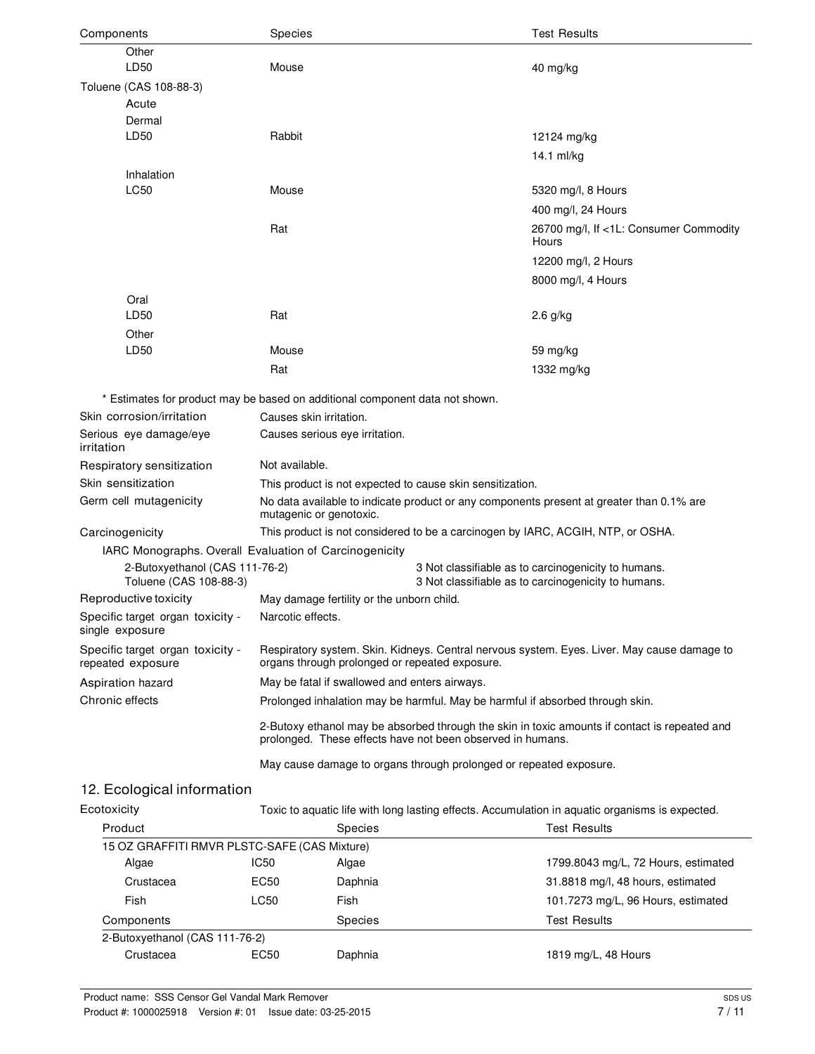| Other<br>LD50<br>Mouse<br>40 mg/kg<br>Toluene (CAS 108-88-3)<br>Acute<br>Dermal<br>LD50<br>Rabbit<br>12124 mg/kg<br>14.1 ml/kg<br>Inhalation                                                           | <b>Test Results</b> |  |
|--------------------------------------------------------------------------------------------------------------------------------------------------------------------------------------------------------|---------------------|--|
|                                                                                                                                                                                                        |                     |  |
|                                                                                                                                                                                                        |                     |  |
|                                                                                                                                                                                                        |                     |  |
|                                                                                                                                                                                                        |                     |  |
|                                                                                                                                                                                                        |                     |  |
|                                                                                                                                                                                                        |                     |  |
|                                                                                                                                                                                                        |                     |  |
| <b>LC50</b><br>Mouse<br>5320 mg/l, 8 Hours                                                                                                                                                             |                     |  |
| 400 mg/l, 24 Hours                                                                                                                                                                                     |                     |  |
| Rat<br>26700 mg/l, If <1L: Consumer Commodity<br>Hours                                                                                                                                                 |                     |  |
| 12200 mg/l, 2 Hours                                                                                                                                                                                    |                     |  |
| 8000 mg/l, 4 Hours                                                                                                                                                                                     |                     |  |
| Oral                                                                                                                                                                                                   |                     |  |
| LD50<br>Rat<br>$2.6$ g/kg                                                                                                                                                                              |                     |  |
| Other                                                                                                                                                                                                  |                     |  |
| LD50<br>Mouse<br>59 mg/kg                                                                                                                                                                              |                     |  |
| Rat<br>1332 mg/kg                                                                                                                                                                                      |                     |  |
| * Estimates for product may be based on additional component data not shown.                                                                                                                           |                     |  |
| Skin corrosion/irritation<br>Causes skin irritation.                                                                                                                                                   |                     |  |
| Serious eye damage/eye<br>Causes serious eye irritation.                                                                                                                                               |                     |  |
| irritation                                                                                                                                                                                             |                     |  |
| Not available.<br>Respiratory sensitization                                                                                                                                                            |                     |  |
| Skin sensitization<br>This product is not expected to cause skin sensitization.                                                                                                                        |                     |  |
| Germ cell mutagenicity<br>No data available to indicate product or any components present at greater than 0.1% are<br>mutagenic or genotoxic.                                                          |                     |  |
| This product is not considered to be a carcinogen by IARC, ACGIH, NTP, or OSHA.<br>Carcinogenicity                                                                                                     |                     |  |
| IARC Monographs. Overall Evaluation of Carcinogenicity                                                                                                                                                 |                     |  |
| 2-Butoxyethanol (CAS 111-76-2)<br>3 Not classifiable as to carcinogenicity to humans.<br>Toluene (CAS 108-88-3)<br>3 Not classifiable as to carcinogenicity to humans.                                 |                     |  |
| Reproductive toxicity<br>May damage fertility or the unborn child.                                                                                                                                     |                     |  |
| Narcotic effects.<br>Specific target organ toxicity -<br>single exposure                                                                                                                               |                     |  |
| Specific target organ toxicity -<br>Respiratory system. Skin. Kidneys. Central nervous system. Eyes. Liver. May cause damage to<br>organs through prolonged or repeated exposure.<br>repeated exposure |                     |  |
| May be fatal if swallowed and enters airways.<br>Aspiration hazard                                                                                                                                     |                     |  |
| Chronic effects<br>Prolonged inhalation may be harmful. May be harmful if absorbed through skin.                                                                                                       |                     |  |
| 2-Butoxy ethanol may be absorbed through the skin in toxic amounts if contact is repeated and<br>prolonged. These effects have not been observed in humans.                                            |                     |  |
| May cause damage to organs through prolonged or repeated exposure.                                                                                                                                     |                     |  |
| 12. Ecological information                                                                                                                                                                             |                     |  |
| Ecotoxicity<br>Toxic to aquatic life with long lasting effects. Accumulation in aquatic organisms is expected.                                                                                         |                     |  |

| Product                                      |             | <b>Species</b> | <b>Test Results</b>                 |
|----------------------------------------------|-------------|----------------|-------------------------------------|
| 15 OZ GRAFFITI RMVR PLSTC-SAFE (CAS Mixture) |             |                |                                     |
| Algae                                        | <b>IC50</b> | Algae          | 1799.8043 mg/L, 72 Hours, estimated |
| Crustacea                                    | EC50        | Daphnia        | 31.8818 mg/l, 48 hours, estimated   |
| Fish                                         | LC50        | Fish           | 101.7273 mg/L, 96 Hours, estimated  |
| Components                                   |             | <b>Species</b> | <b>Test Results</b>                 |
| 2-Butoxyethanol (CAS 111-76-2)               |             |                |                                     |
| Crustacea                                    | EC50        | Daphnia        | 1819 mg/L, 48 Hours                 |
|                                              |             |                |                                     |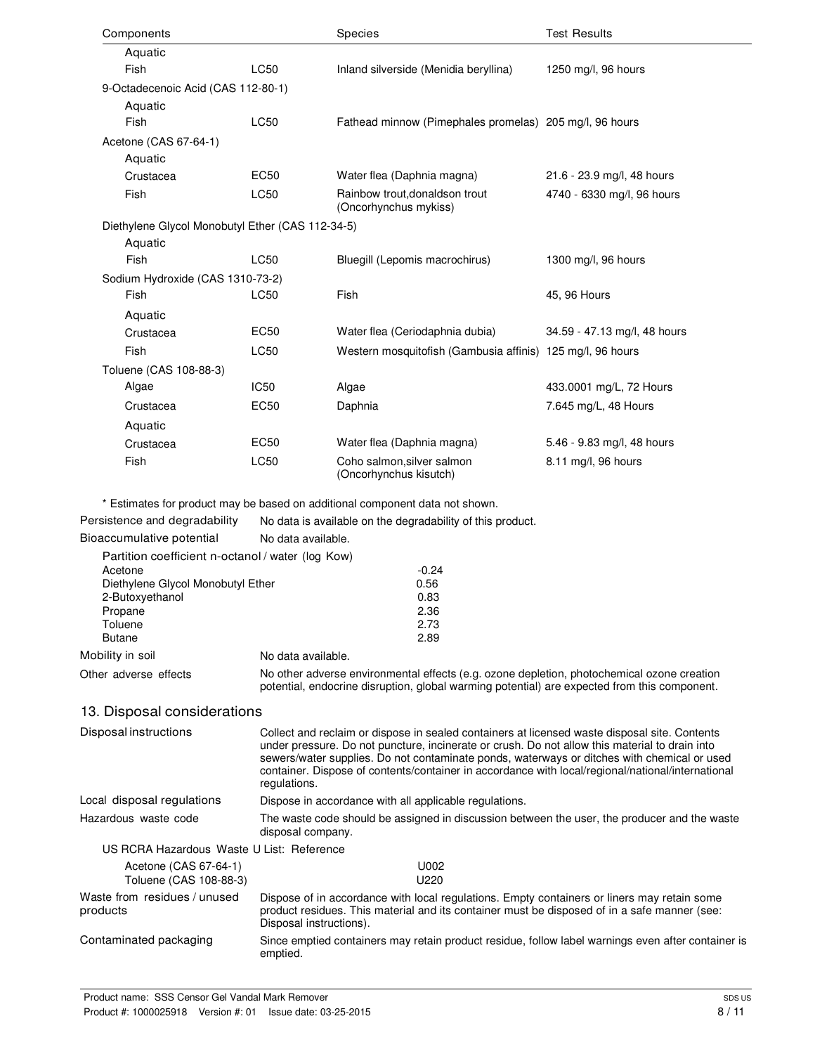| Components  |                                                  |             | <b>Species</b>                                             | <b>Test Results</b>          |
|-------------|--------------------------------------------------|-------------|------------------------------------------------------------|------------------------------|
|             | Aquatic                                          |             |                                                            |                              |
| Fish        |                                                  | <b>LC50</b> | Inland silverside (Menidia beryllina)                      | 1250 mg/l, 96 hours          |
|             | 9-Octadecenoic Acid (CAS 112-80-1)               |             |                                                            |                              |
|             | Aquatic                                          |             |                                                            |                              |
| <b>Fish</b> |                                                  | <b>LC50</b> | Fathead minnow (Pimephales promelas) 205 mg/l, 96 hours    |                              |
|             | Acetone (CAS 67-64-1)                            |             |                                                            |                              |
|             | Aquatic                                          |             |                                                            |                              |
|             | Crustacea                                        | EC50        | Water flea (Daphnia magna)                                 | 21.6 - 23.9 mg/l, 48 hours   |
| Fish        |                                                  | <b>LC50</b> | Rainbow trout, donaldson trout<br>(Oncorhynchus mykiss)    | 4740 - 6330 mg/l, 96 hours   |
|             | Diethylene Glycol Monobutyl Ether (CAS 112-34-5) |             |                                                            |                              |
|             | Aquatic                                          |             |                                                            |                              |
| Fish        |                                                  | <b>LC50</b> | Bluegill (Lepomis macrochirus)                             | 1300 mg/l, 96 hours          |
|             | Sodium Hydroxide (CAS 1310-73-2)                 |             |                                                            |                              |
| <b>Fish</b> |                                                  | <b>LC50</b> | Fish                                                       | 45, 96 Hours                 |
|             | Aquatic                                          |             |                                                            |                              |
|             | Crustacea                                        | <b>EC50</b> | Water flea (Ceriodaphnia dubia)                            | 34.59 - 47.13 mg/l, 48 hours |
| Fish        |                                                  | <b>LC50</b> | Western mosquitofish (Gambusia affinis) 125 mg/l, 96 hours |                              |
|             | Toluene (CAS 108-88-3)                           |             |                                                            |                              |
| Algae       |                                                  | <b>IC50</b> | Algae                                                      | 433.0001 mg/L, 72 Hours      |
|             | Crustacea                                        | <b>EC50</b> | Daphnia                                                    | 7.645 mg/L, 48 Hours         |
|             | Aquatic                                          |             |                                                            |                              |
|             | Crustacea                                        | <b>EC50</b> | Water flea (Daphnia magna)                                 | 5.46 - 9.83 mg/l, 48 hours   |
| Fish        |                                                  | <b>LC50</b> | Coho salmon, silver salmon<br>(Oncorhynchus kisutch)       | 8.11 mg/l, 96 hours          |

\* Estimates for product may be based on additional component data not shown.

Persistence and degradability No data is available on the degradability of this product.

Bioaccumulative potential No data available.

|                                   | Partition coefficient n-octanol / water (log Kow) |                                                   |
|-----------------------------------|---------------------------------------------------|---------------------------------------------------|
| Acetone                           |                                                   | $-0.24$                                           |
| Diethylene Glycol Monobutyl Ether |                                                   | 0.56                                              |
| 2-Butoxyethanol                   |                                                   | 0.83                                              |
| Propane                           |                                                   | 2.36                                              |
| Toluene                           |                                                   | 2.73                                              |
| <b>Butane</b>                     |                                                   | 2.89                                              |
| Mobility in soil                  | No data available.                                |                                                   |
| Othar advarea affacte             |                                                   | No other adverse environmental effects (e.g. ozon |

Other adverse effects No other adverse environmental effects (e.g. ozone depletion, photochemical ozone creation potential, endocrine disruption, global warming potential) are expected from this component.

### 13. Disposal considerations

| Disposal instructions                     | Collect and reclaim or dispose in sealed containers at licensed waste disposal site. Contents<br>under pressure. Do not puncture, incinerate or crush. Do not allow this material to drain into<br>sewers/water supplies. Do not contaminate ponds, waterways or ditches with chemical or used<br>container. Dispose of contents/container in accordance with local/regional/national/international<br>regulations. |  |
|-------------------------------------------|---------------------------------------------------------------------------------------------------------------------------------------------------------------------------------------------------------------------------------------------------------------------------------------------------------------------------------------------------------------------------------------------------------------------|--|
| Local disposal regulations                | Dispose in accordance with all applicable regulations.                                                                                                                                                                                                                                                                                                                                                              |  |
| Hazardous waste code                      | The waste code should be assigned in discussion between the user, the producer and the waste<br>disposal company.                                                                                                                                                                                                                                                                                                   |  |
| US RCRA Hazardous Waste U List: Reference |                                                                                                                                                                                                                                                                                                                                                                                                                     |  |
| Acetone (CAS 67-64-1)                     | U002                                                                                                                                                                                                                                                                                                                                                                                                                |  |
| Toluene (CAS 108-88-3)                    | U220                                                                                                                                                                                                                                                                                                                                                                                                                |  |
| Waste from residues / unused<br>products  | Dispose of in accordance with local regulations. Empty containers or liners may retain some<br>product residues. This material and its container must be disposed of in a safe manner (see:<br>Disposal instructions).                                                                                                                                                                                              |  |
| Contaminated packaging                    | Since emptied containers may retain product residue, follow label warnings even after container is<br>emptied.                                                                                                                                                                                                                                                                                                      |  |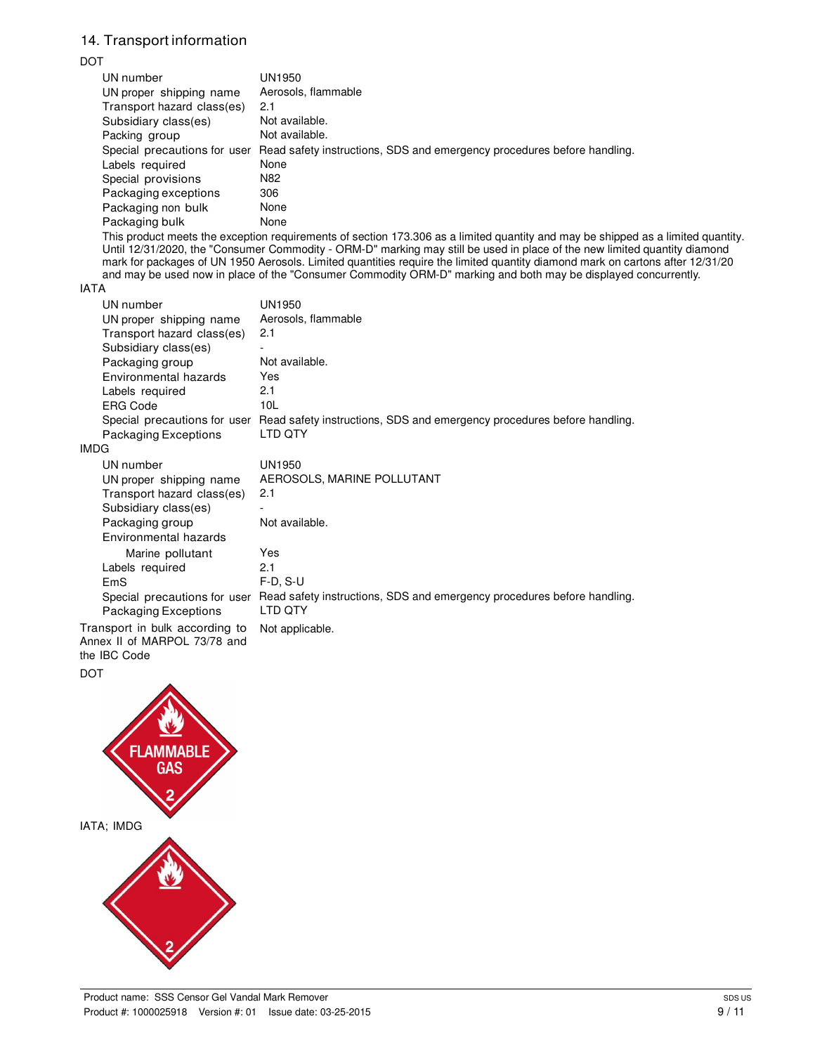## 14. Transport information

### DOT

| UN number                                                                      | UN1950                                                                                                                                                                                                                                                                                                                                                                                                                                                                                                           |
|--------------------------------------------------------------------------------|------------------------------------------------------------------------------------------------------------------------------------------------------------------------------------------------------------------------------------------------------------------------------------------------------------------------------------------------------------------------------------------------------------------------------------------------------------------------------------------------------------------|
| UN proper shipping name                                                        | Aerosols, flammable                                                                                                                                                                                                                                                                                                                                                                                                                                                                                              |
| Transport hazard class(es)                                                     | 2.1                                                                                                                                                                                                                                                                                                                                                                                                                                                                                                              |
| Subsidiary class(es)                                                           | Not available.                                                                                                                                                                                                                                                                                                                                                                                                                                                                                                   |
| Packing group                                                                  | Not available.                                                                                                                                                                                                                                                                                                                                                                                                                                                                                                   |
|                                                                                | Special precautions for user Read safety instructions, SDS and emergency procedures before handling.                                                                                                                                                                                                                                                                                                                                                                                                             |
| Labels required                                                                | None                                                                                                                                                                                                                                                                                                                                                                                                                                                                                                             |
| Special provisions                                                             | N82                                                                                                                                                                                                                                                                                                                                                                                                                                                                                                              |
| Packaging exceptions                                                           | 306                                                                                                                                                                                                                                                                                                                                                                                                                                                                                                              |
| Packaging non bulk                                                             | None                                                                                                                                                                                                                                                                                                                                                                                                                                                                                                             |
| Packaging bulk                                                                 | None                                                                                                                                                                                                                                                                                                                                                                                                                                                                                                             |
|                                                                                | This product meets the exception requirements of section 173.306 as a limited quantity and may be shipped as a limited quantity.<br>Until 12/31/2020, the "Consumer Commodity - ORM-D" marking may still be used in place of the new limited quantity diamond<br>mark for packages of UN 1950 Aerosols. Limited quantities require the limited quantity diamond mark on cartons after 12/31/20<br>and may be used now in place of the "Consumer Commodity ORM-D" marking and both may be displayed concurrently. |
| <b>IATA</b>                                                                    |                                                                                                                                                                                                                                                                                                                                                                                                                                                                                                                  |
| UN number                                                                      | UN1950                                                                                                                                                                                                                                                                                                                                                                                                                                                                                                           |
| UN proper shipping name                                                        | Aerosols, flammable                                                                                                                                                                                                                                                                                                                                                                                                                                                                                              |
| Transport hazard class(es)                                                     | 2.1                                                                                                                                                                                                                                                                                                                                                                                                                                                                                                              |
| Subsidiary class(es)                                                           |                                                                                                                                                                                                                                                                                                                                                                                                                                                                                                                  |
| Packaging group                                                                | Not available.                                                                                                                                                                                                                                                                                                                                                                                                                                                                                                   |
| Environmental hazards                                                          | Yes                                                                                                                                                                                                                                                                                                                                                                                                                                                                                                              |
| Labels required                                                                | 2.1                                                                                                                                                                                                                                                                                                                                                                                                                                                                                                              |
| <b>ERG Code</b>                                                                | 10L                                                                                                                                                                                                                                                                                                                                                                                                                                                                                                              |
|                                                                                | Special precautions for user Read safety instructions, SDS and emergency procedures before handling.                                                                                                                                                                                                                                                                                                                                                                                                             |
| <b>Packaging Exceptions</b>                                                    | LTD QTY                                                                                                                                                                                                                                                                                                                                                                                                                                                                                                          |
| <b>IMDG</b>                                                                    |                                                                                                                                                                                                                                                                                                                                                                                                                                                                                                                  |
| UN number                                                                      | <b>UN1950</b>                                                                                                                                                                                                                                                                                                                                                                                                                                                                                                    |
| UN proper shipping name                                                        | AEROSOLS, MARINE POLLUTANT                                                                                                                                                                                                                                                                                                                                                                                                                                                                                       |
| Transport hazard class(es)                                                     | 2.1                                                                                                                                                                                                                                                                                                                                                                                                                                                                                                              |
| Subsidiary class(es)                                                           |                                                                                                                                                                                                                                                                                                                                                                                                                                                                                                                  |
| Packaging group                                                                | Not available.                                                                                                                                                                                                                                                                                                                                                                                                                                                                                                   |
| Environmental hazards                                                          |                                                                                                                                                                                                                                                                                                                                                                                                                                                                                                                  |
| Marine pollutant                                                               | Yes                                                                                                                                                                                                                                                                                                                                                                                                                                                                                                              |
| Labels required                                                                | 2.1                                                                                                                                                                                                                                                                                                                                                                                                                                                                                                              |
| EmS                                                                            | $F-D, S-U$                                                                                                                                                                                                                                                                                                                                                                                                                                                                                                       |
| <b>Packaging Exceptions</b>                                                    | Special precautions for user Read safety instructions, SDS and emergency procedures before handling.<br>LTD QTY                                                                                                                                                                                                                                                                                                                                                                                                  |
| Transport in bulk according to<br>Annex II of MARPOL 73/78 and<br>the IBC Code | Not applicable.                                                                                                                                                                                                                                                                                                                                                                                                                                                                                                  |



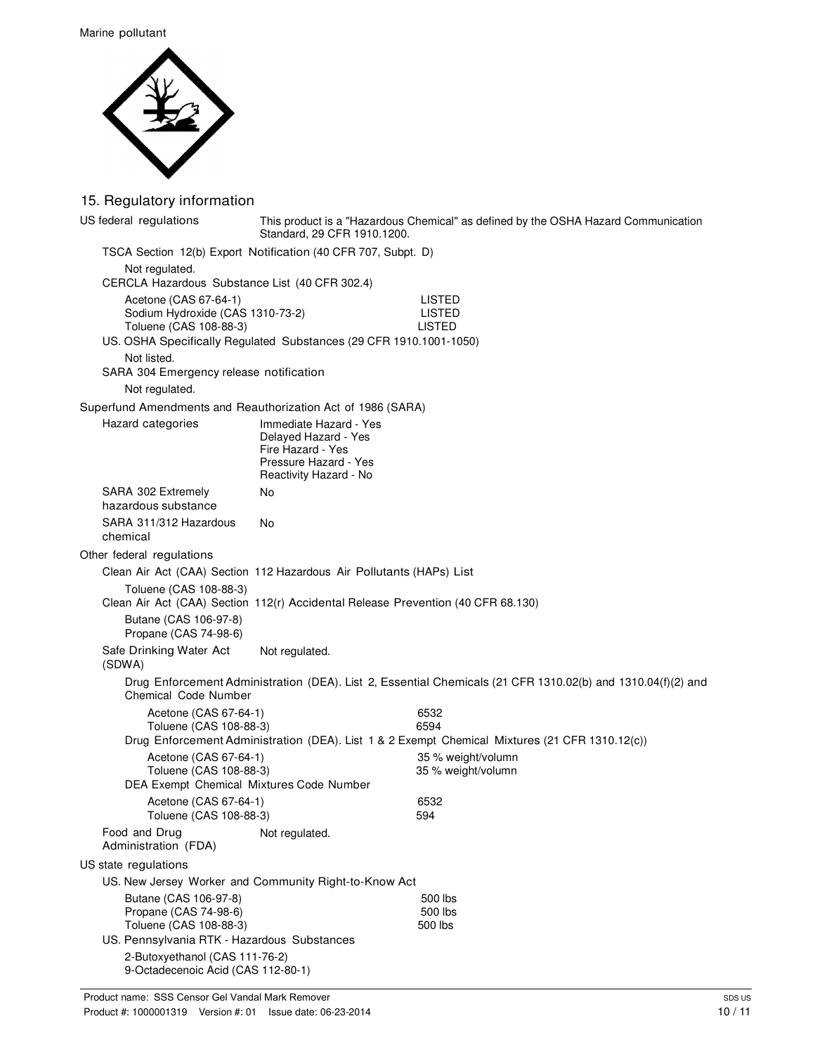Marine pollutant



### 15. Regulatory information

| US federal regulations                                                | Standard, 29 CFR 1910.1200.                                                      | This product is a "Hazardous Chemical" as defined by the OSHA Hazard Communication                          |  |
|-----------------------------------------------------------------------|----------------------------------------------------------------------------------|-------------------------------------------------------------------------------------------------------------|--|
|                                                                       | TSCA Section 12(b) Export Notification (40 CFR 707, Subpt. D)                    |                                                                                                             |  |
| Not regulated.                                                        |                                                                                  |                                                                                                             |  |
|                                                                       | CERCLA Hazardous Substance List (40 CFR 302.4)                                   |                                                                                                             |  |
| Acetone (CAS 67-64-1)                                                 |                                                                                  | <b>LISTED</b>                                                                                               |  |
| Sodium Hydroxide (CAS 1310-73-2)<br>Toluene (CAS 108-88-3)            |                                                                                  | <b>LISTED</b><br><b>LISTED</b>                                                                              |  |
|                                                                       | US. OSHA Specifically Regulated Substances (29 CFR 1910.1001-1050)               |                                                                                                             |  |
| Not listed.                                                           |                                                                                  |                                                                                                             |  |
| SARA 304 Emergency release notification                               |                                                                                  |                                                                                                             |  |
| Not regulated.                                                        |                                                                                  |                                                                                                             |  |
| Superfund Amendments and Reauthorization Act of 1986 (SARA)           |                                                                                  |                                                                                                             |  |
| Hazard categories                                                     | Immediate Hazard - Yes                                                           |                                                                                                             |  |
|                                                                       | Delayed Hazard - Yes                                                             |                                                                                                             |  |
|                                                                       | Fire Hazard - Yes<br>Pressure Hazard - Yes                                       |                                                                                                             |  |
|                                                                       | Reactivity Hazard - No                                                           |                                                                                                             |  |
| SARA 302 Extremely                                                    | No                                                                               |                                                                                                             |  |
| hazardous substance                                                   |                                                                                  |                                                                                                             |  |
| SARA 311/312 Hazardous                                                | No                                                                               |                                                                                                             |  |
| chemical                                                              |                                                                                  |                                                                                                             |  |
| Other federal regulations                                             |                                                                                  |                                                                                                             |  |
|                                                                       | Clean Air Act (CAA) Section 112 Hazardous Air Pollutants (HAPs) List             |                                                                                                             |  |
| Toluene (CAS 108-88-3)                                                | Clean Air Act (CAA) Section 112(r) Accidental Release Prevention (40 CFR 68.130) |                                                                                                             |  |
| Butane (CAS 106-97-8)                                                 |                                                                                  |                                                                                                             |  |
| Propane (CAS 74-98-6)                                                 |                                                                                  |                                                                                                             |  |
| Safe Drinking Water Act                                               | Not regulated.                                                                   |                                                                                                             |  |
| (SDWA)                                                                |                                                                                  |                                                                                                             |  |
| Chemical Code Number                                                  |                                                                                  | Drug Enforcement Administration (DEA). List 2, Essential Chemicals (21 CFR 1310.02(b) and 1310.04(f)(2) and |  |
| Acetone (CAS 67-64-1)                                                 |                                                                                  | 6532                                                                                                        |  |
| Toluene (CAS 108-88-3)                                                |                                                                                  | 6594                                                                                                        |  |
|                                                                       |                                                                                  | Drug Enforcement Administration (DEA). List 1 & 2 Exempt Chemical Mixtures (21 CFR 1310.12(c))              |  |
| Acetone (CAS 67-64-1)<br>Toluene (CAS 108-88-3)                       |                                                                                  | 35 % weight/volumn<br>35 % weight/volumn                                                                    |  |
| DEA Exempt Chemical Mixtures Code Number                              |                                                                                  |                                                                                                             |  |
| Acetone (CAS 67-64-1)                                                 |                                                                                  | 6532                                                                                                        |  |
| Toluene (CAS 108-88-3)                                                |                                                                                  | 594                                                                                                         |  |
| Food and Drug<br>Administration (FDA)                                 | Not regulated.                                                                   |                                                                                                             |  |
| US state regulations                                                  |                                                                                  |                                                                                                             |  |
|                                                                       | US. New Jersey Worker and Community Right-to-Know Act                            |                                                                                                             |  |
| Butane (CAS 106-97-8)                                                 |                                                                                  | 500 lbs                                                                                                     |  |
| Propane (CAS 74-98-6)                                                 |                                                                                  | 500 lbs                                                                                                     |  |
| Toluene (CAS 108-88-3)<br>US. Pennsylvania RTK - Hazardous Substances |                                                                                  | 500 lbs                                                                                                     |  |
| 2-Butoxyethanol (CAS 111-76-2)                                        |                                                                                  |                                                                                                             |  |
| 9-Octadecenoic Acid (CAS 112-80-1)                                    |                                                                                  |                                                                                                             |  |